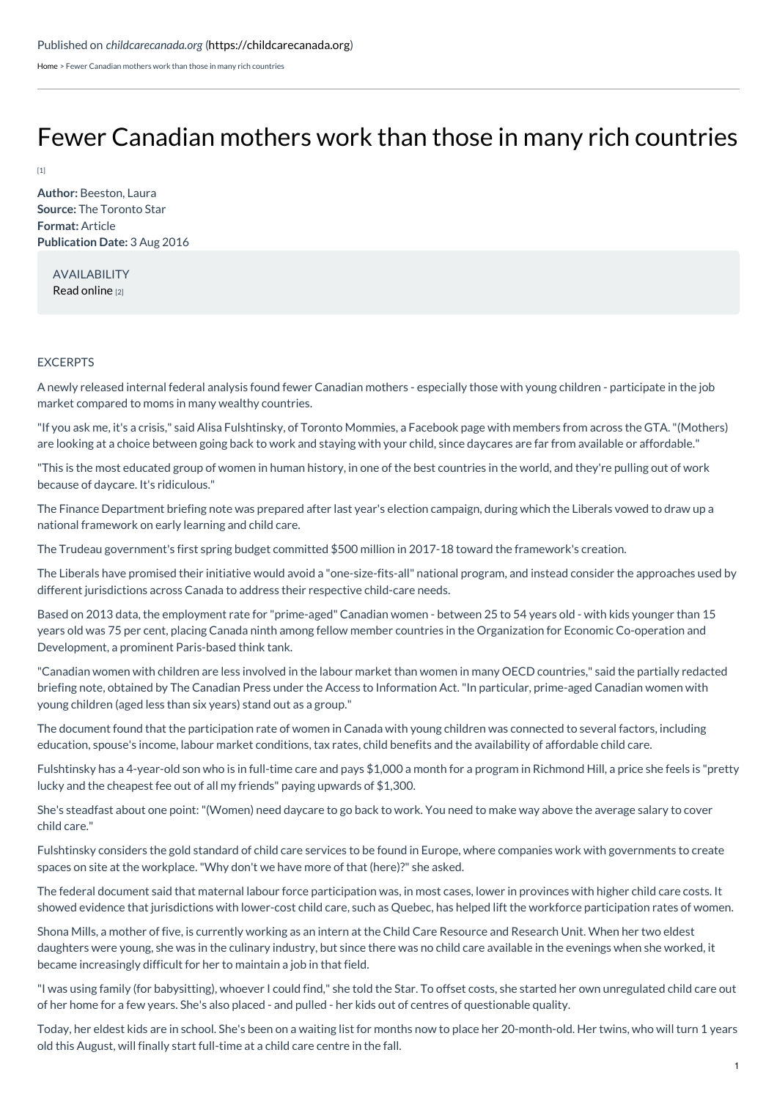[Home](https://childcarecanada.org/) > Fewer Canadian mothers work than those in many rich countries

## Fewer [Canadian](https://childcarecanada.org/documents/child-care-news/16/08/fewer-canadian-mothers-work-those-many-rich-countries) mothers work than those in many rich countries

 $[1]$ 

**Author:** Beeston, Laura **Source:** The Toronto Star **Format:** Article **Publication Date:** 3 Aug 2016

AVAILABILITY Read [online](https://www.thestar.com/news/canada/2016/08/03/fewer-canadian-mothers-work-than-those-in-many-rich-countries.html) [2]

## EXCERPTS

A newly released internal federal analysis found fewer Canadian mothers - especially those with young children - participate in the job market compared to moms in many wealthy countries.

"If you ask me, it's a crisis," said Alisa Fulshtinsky, of Toronto Mommies, a Facebook page with members from across the GTA."(Mothers) are looking at a choice between going back to work and staying with your child, since daycares are far from available or affordable."

"This is the most educated group of women in human history, in one of the best countries in the world, and they're pulling out of work because of daycare. It's ridiculous."

The Finance Department briefing note was prepared after last year's election campaign, during which the Liberals vowed to draw up a national framework on early learning and child care.

The Trudeau government's first spring budget committed \$500 million in 2017-18 toward the framework's creation.

The Liberals have promised their initiative would avoid a "one-size-fits-all" national program, and instead consider the approaches used by different jurisdictions across Canada to address their respective child-care needs.

Based on 2013 data, the employment rate for "prime-aged" Canadian women - between 25 to 54 years old - with kids younger than 15 years old was 75 per cent, placing Canada ninth among fellow member countries in the Organization for Economic Co-operation and Development, a prominent Paris-based think tank.

"Canadian women with children are less involved in the labour market than women in many OECD countries," said the partially redacted briefing note, obtained by The Canadian Press under the Access to Information Act."In particular, prime-aged Canadian women with young children (aged less than six years) stand out as a group."

The document found that the participation rate of women in Canada with young children was connected to several factors, including education, spouse's income, labour market conditions, tax rates, child benefits and the availability of affordable child care.

Fulshtinsky has a 4-year-old son who is in full-time care and pays \$1,000 a month for a program in Richmond Hill, a price she feels is "pretty lucky and the cheapest fee out of all my friends" paying upwards of \$1,300.

She's steadfast about one point:"(Women) need daycare to go back to work. You need to make way above the average salary to cover child care."

Fulshtinsky considers the gold standard of child care services to be found in Europe, where companies work with governments to create spaces on site at the workplace."Why don't we have more of that (here)?" she asked.

The federal document said that maternal labour force participation was, in most cases, lower in provinces with higher child care costs. It showed evidence that jurisdictions with lower-cost child care, such as Quebec, has helped lift the workforce participation rates of women.

Shona Mills, a mother of five, is currently working as an intern at the Child Care Resource and Research Unit. When her two eldest daughters were young, she was in the culinary industry, but since there was no child care available in the evenings when she worked, it became increasingly difficult for her to maintain a job in that field.

"I was using family (for babysitting), whoever I could find," she told the Star. To offset costs, she started her own unregulated child care out of her home for a few years. She's also placed - and pulled - her kids out of centres of questionable quality.

Today, her eldest kids are in school. She's been on a waiting list for months now to place her 20-month-old. Her twins, who will turn 1 years old this August, will finally start full-time at a child care centre in the fall.